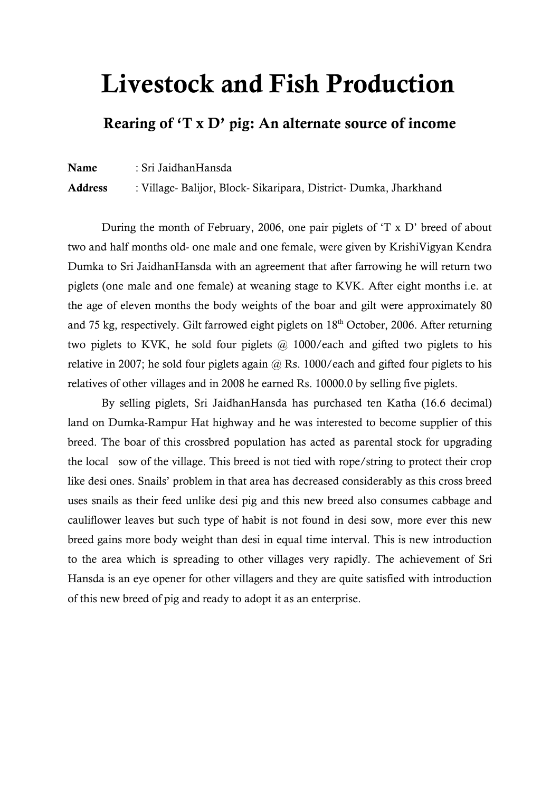# **Livestock and Fish Production**

## **Rearing of 'T x D' pig: An alternate source of income**

**Name** : Sri JaidhanHansda

**Address** : Village- Balijor, Block- Sikaripara, District- Dumka, Jharkhand

During the month of February, 2006, one pair piglets of "T x D" breed of about two and half months old- one male and one female, were given by KrishiVigyan Kendra Dumka to Sri JaidhanHansda with an agreement that after farrowing he will return two piglets (one male and one female) at weaning stage to KVK. After eight months i.e. at the age of eleven months the body weights of the boar and gilt were approximately 80 and 75 kg, respectively. Gilt farrowed eight piglets on  $18<sup>th</sup>$  October, 2006. After returning two piglets to KVK, he sold four piglets @ 1000/each and gifted two piglets to his relative in 2007; he sold four piglets again  $@$  Rs. 1000/each and gifted four piglets to his relatives of other villages and in 2008 he earned Rs. 10000.0 by selling five piglets.

By selling piglets, Sri JaidhanHansda has purchased ten Katha (16.6 decimal) land on Dumka-Rampur Hat highway and he was interested to become supplier of this breed. The boar of this crossbred population has acted as parental stock for upgrading the local sow of the village. This breed is not tied with rope/string to protect their crop like desi ones. Snails" problem in that area has decreased considerably as this cross breed uses snails as their feed unlike desi pig and this new breed also consumes cabbage and cauliflower leaves but such type of habit is not found in desi sow, more ever this new breed gains more body weight than desi in equal time interval. This is new introduction to the area which is spreading to other villages very rapidly. The achievement of Sri Hansda is an eye opener for other villagers and they are quite satisfied with introduction of this new breed of pig and ready to adopt it as an enterprise.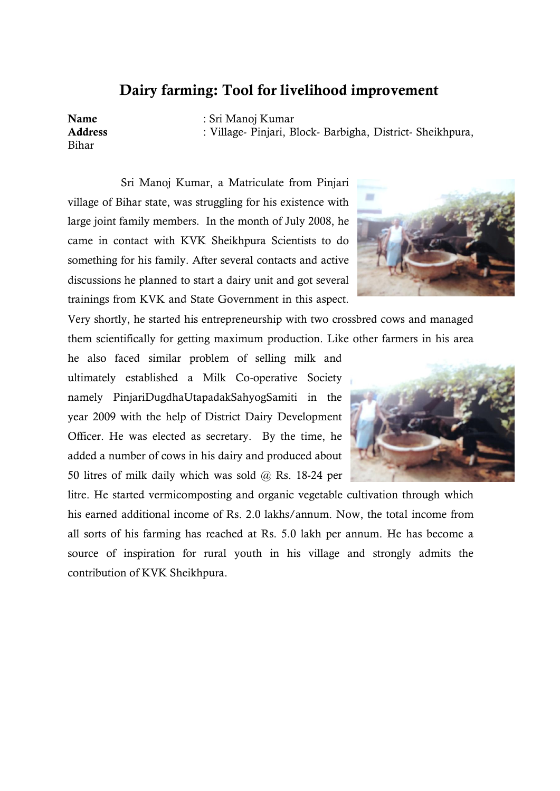#### **Dairy farming: Tool for livelihood improvement**

Bihar

**Name** : Sri Manoj Kumar **Address** : Village- Pinjari, Block- Barbigha, District- Sheikhpura,

Sri Manoj Kumar, a Matriculate from Pinjari village of Bihar state, was struggling for his existence with large joint family members. In the month of July 2008, he came in contact with KVK Sheikhpura Scientists to do something for his family. After several contacts and active discussions he planned to start a dairy unit and got several trainings from KVK and State Government in this aspect.



Very shortly, he started his entrepreneurship with two crossbred cows and managed them scientifically for getting maximum production. Like other farmers in his area

he also faced similar problem of selling milk and ultimately established a Milk Co-operative Society namely PinjariDugdhaUtapadakSahyogSamiti in the year 2009 with the help of District Dairy Development Officer. He was elected as secretary. By the time, he added a number of cows in his dairy and produced about 50 litres of milk daily which was sold @ Rs. 18-24 per

litre. He started vermicomposting and organic vegetable cultivation through which his earned additional income of Rs. 2.0 lakhs/annum. Now, the total income from all sorts of his farming has reached at Rs. 5.0 lakh per annum. He has become a source of inspiration for rural youth in his village and strongly admits the contribution of KVK Sheikhpura.

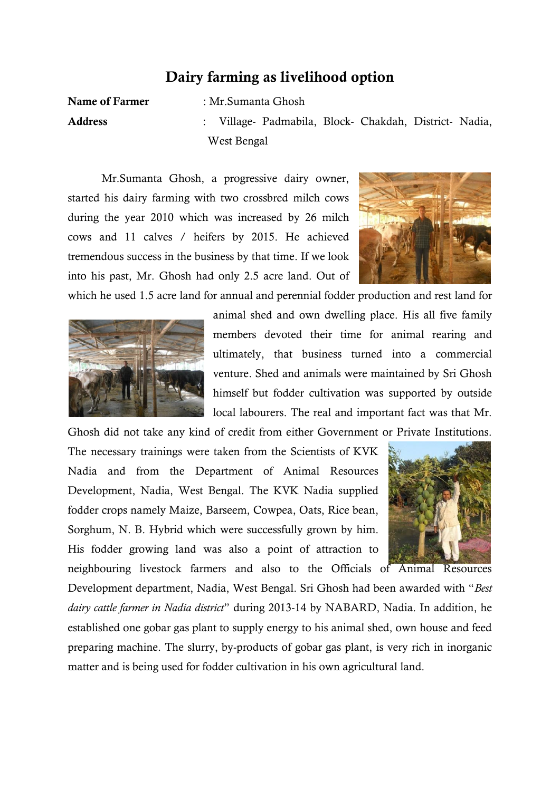### **Dairy farming as livelihood option**

**Name of Farmer** : Mr.Sumanta Ghosh

**Address** : Village- Padmabila, Block- Chakdah, District- Nadia, West Bengal

Mr.Sumanta Ghosh, a progressive dairy owner, started his dairy farming with two crossbred milch cows during the year 2010 which was increased by 26 milch cows and 11 calves / heifers by 2015. He achieved tremendous success in the business by that time. If we look into his past, Mr. Ghosh had only 2.5 acre land. Out of



which he used 1.5 acre land for annual and perennial fodder production and rest land for

Ghosh did not take any kind of credit from either Government or Private Institutions.



animal shed and own dwelling place. His all five family members devoted their time for animal rearing and ultimately, that business turned into a commercial venture. Shed and animals were maintained by Sri Ghosh himself but fodder cultivation was supported by outside local labourers. The real and important fact was that Mr.

The necessary trainings were taken from the Scientists of KVK Nadia and from the Department of Animal Resources Development, Nadia, West Bengal. The KVK Nadia supplied fodder crops namely Maize, Barseem, Cowpea, Oats, Rice bean, Sorghum, N. B. Hybrid which were successfully grown by him. His fodder growing land was also a point of attraction to



Development department, Nadia, West Bengal. Sri Ghosh had been awarded with "*Best dairy cattle farmer in Nadia district*" during 2013-14 by NABARD, Nadia. In addition, he established one gobar gas plant to supply energy to his animal shed, own house and feed preparing machine. The slurry, by-products of gobar gas plant, is very rich in inorganic matter and is being used for fodder cultivation in his own agricultural land.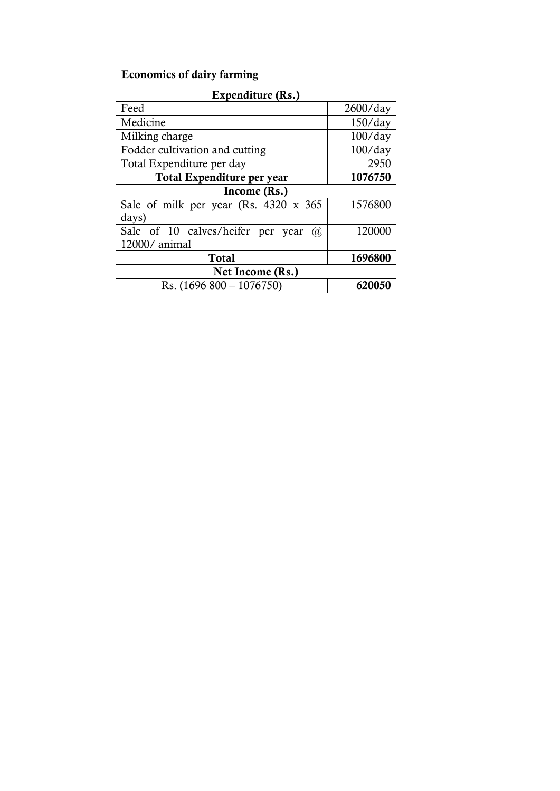## **Economics of dairy farming**

| Expenditure (Rs.)                        |            |
|------------------------------------------|------------|
| Feed                                     | 2600/day   |
| Medicine                                 | $150$ /day |
| Milking charge                           | $100$ /day |
| Fodder cultivation and cutting           | $100$ /day |
| Total Expenditure per day                | 2950       |
| Total Expenditure per year               | 1076750    |
| Income (Rs.)                             |            |
| Sale of milk per year (Rs. 4320 x 365)   | 1576800    |
| days)                                    |            |
| Sale of 10 calves/heifer per year<br>(a) | 120000     |
| 12000/ animal                            |            |
| <b>Total</b>                             | 1696800    |
| Net Income (Rs.)                         |            |
| Rs. $(1696 800 - 1076750)$               | 620050     |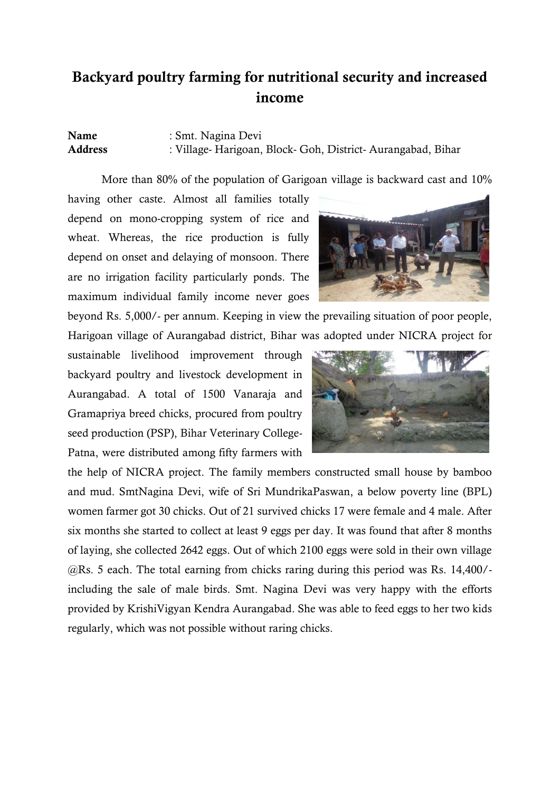## **Backyard poultry farming for nutritional security and increased income**

#### **Name** : Smt. Nagina Devi **Address** : Village- Harigoan, Block- Goh, District- Aurangabad, Bihar

More than 80% of the population of Garigoan village is backward cast and 10%

having other caste. Almost all families totally depend on mono-cropping system of rice and wheat. Whereas, the rice production is fully depend on onset and delaying of monsoon. There are no irrigation facility particularly ponds. The maximum individual family income never goes

beyond Rs. 5,000/- per annum. Keeping in view the prevailing situation of poor people, Harigoan village of Aurangabad district, Bihar was adopted under NICRA project for

sustainable livelihood improvement through backyard poultry and livestock development in Aurangabad. A total of 1500 Vanaraja and Gramapriya breed chicks, procured from poultry seed production (PSP), Bihar Veterinary College-Patna, were distributed among fifty farmers with



the help of NICRA project. The family members constructed small house by bamboo and mud. SmtNagina Devi, wife of Sri MundrikaPaswan, a below poverty line (BPL) women farmer got 30 chicks. Out of 21 survived chicks 17 were female and 4 male. After six months she started to collect at least 9 eggs per day. It was found that after 8 months of laying, she collected 2642 eggs. Out of which 2100 eggs were sold in their own village @Rs. 5 each. The total earning from chicks raring during this period was Rs. 14,400/ including the sale of male birds. Smt. Nagina Devi was very happy with the efforts provided by KrishiVigyan Kendra Aurangabad. She was able to feed eggs to her two kids regularly, which was not possible without raring chicks.

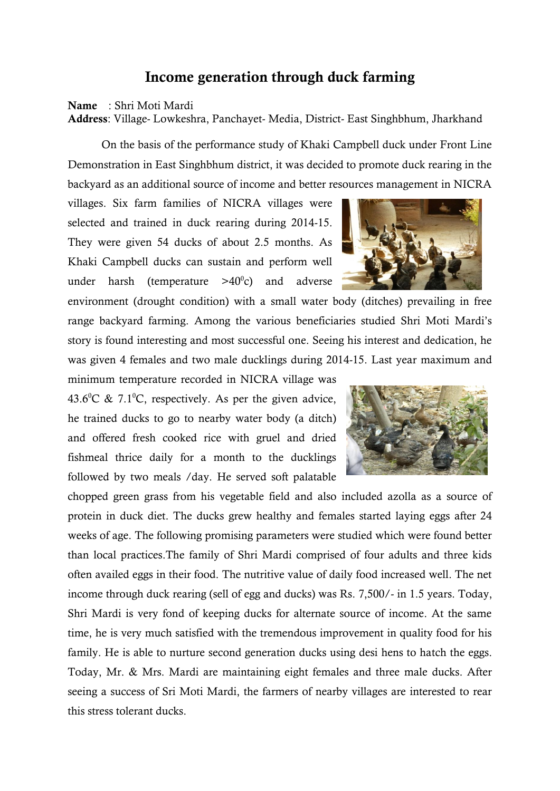#### **Income generation through duck farming**

#### **Name** : Shri Moti Mardi

**Address**: Village- Lowkeshra, Panchayet- Media, District- East Singhbhum, Jharkhand

On the basis of the performance study of Khaki Campbell duck under Front Line Demonstration in East Singhbhum district, it was decided to promote duck rearing in the backyard as an additional source of income and better resources management in NICRA

villages. Six farm families of NICRA villages were selected and trained in duck rearing during 2014-15. They were given 54 ducks of about 2.5 months. As Khaki Campbell ducks can sustain and perform well under harsh (temperature  $>40^{\circ}$ c) and adverse

environment (drought condition) with a small water body (ditches) prevailing in free range backyard farming. Among the various beneficiaries studied Shri Moti Mardi"s story is found interesting and most successful one. Seeing his interest and dedication, he was given 4 females and two male ducklings during 2014-15. Last year maximum and

minimum temperature recorded in NICRA village was 43.6<sup>o</sup>C & 7.1<sup>o</sup>C, respectively. As per the given advice, he trained ducks to go to nearby water body (a ditch) and offered fresh cooked rice with gruel and dried fishmeal thrice daily for a month to the ducklings followed by two meals /day. He served soft palatable

chopped green grass from his vegetable field and also included azolla as a source of protein in duck diet. The ducks grew healthy and females started laying eggs after 24 weeks of age. The following promising parameters were studied which were found better than local practices.The family of Shri Mardi comprised of four adults and three kids often availed eggs in their food. The nutritive value of daily food increased well. The net income through duck rearing (sell of egg and ducks) was Rs. 7,500/- in 1.5 years. Today, Shri Mardi is very fond of keeping ducks for alternate source of income. At the same time, he is very much satisfied with the tremendous improvement in quality food for his family. He is able to nurture second generation ducks using desi hens to hatch the eggs. Today, Mr. & Mrs. Mardi are maintaining eight females and three male ducks. After seeing a success of Sri Moti Mardi, the farmers of nearby villages are interested to rear this stress tolerant ducks.



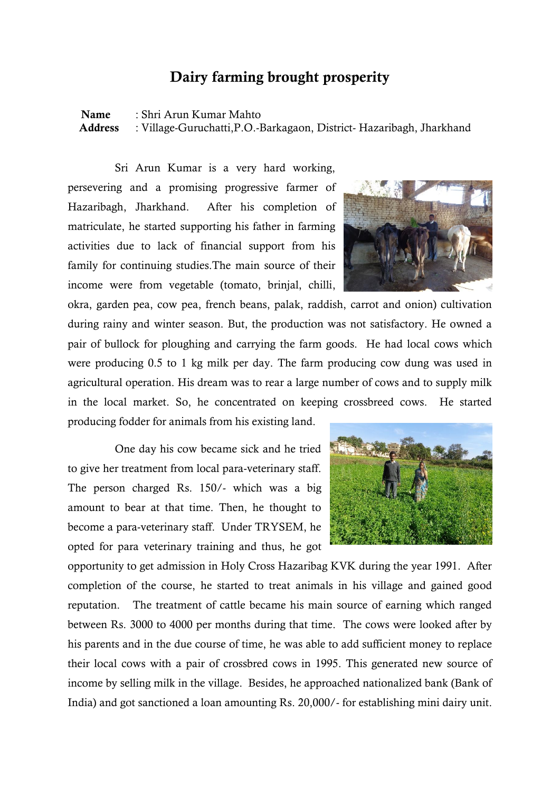#### **Dairy farming brought prosperity**

**Name** : Shri Arun Kumar Mahto  **Address** : Village-Guruchatti,P.O.-Barkagaon, District- Hazaribagh, Jharkhand

Sri Arun Kumar is a very hard working, persevering and a promising progressive farmer of Hazaribagh, Jharkhand. After his completion of matriculate, he started supporting his father in farming activities due to lack of financial support from his family for continuing studies.The main source of their income were from vegetable (tomato, brinjal, chilli,

okra, garden pea, cow pea, french beans, palak, raddish, carrot and onion) cultivation during rainy and winter season. But, the production was not satisfactory. He owned a pair of bullock for ploughing and carrying the farm goods. He had local cows which were producing 0.5 to 1 kg milk per day. The farm producing cow dung was used in agricultural operation. His dream was to rear a large number of cows and to supply milk in the local market. So, he concentrated on keeping crossbreed cows. He started producing fodder for animals from his existing land.

One day his cow became sick and he tried to give her treatment from local para-veterinary staff. The person charged Rs. 150/- which was a big amount to bear at that time. Then, he thought to become a para-veterinary staff. Under TRYSEM, he opted for para veterinary training and thus, he got

opportunity to get admission in Holy Cross Hazaribag KVK during the year 1991. After completion of the course, he started to treat animals in his village and gained good reputation. The treatment of cattle became his main source of earning which ranged between Rs. 3000 to 4000 per months during that time. The cows were looked after by his parents and in the due course of time, he was able to add sufficient money to replace their local cows with a pair of crossbred cows in 1995. This generated new source of income by selling milk in the village. Besides, he approached nationalized bank (Bank of India) and got sanctioned a loan amounting Rs. 20,000/- for establishing mini dairy unit.



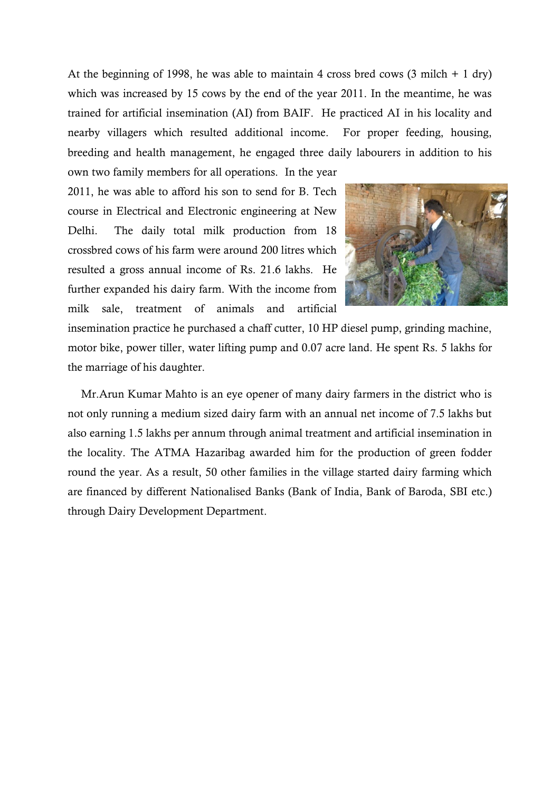At the beginning of 1998, he was able to maintain 4 cross bred cows  $(3 \text{ milch} + 1 \text{ dry})$ which was increased by 15 cows by the end of the year 2011. In the meantime, he was trained for artificial insemination (AI) from BAIF. He practiced AI in his locality and nearby villagers which resulted additional income. For proper feeding, housing, breeding and health management, he engaged three daily labourers in addition to his

own two family members for all operations. In the year 2011, he was able to afford his son to send for B. Tech course in Electrical and Electronic engineering at New Delhi. The daily total milk production from 18 crossbred cows of his farm were around 200 litres which resulted a gross annual income of Rs. 21.6 lakhs. He further expanded his dairy farm. With the income from milk sale, treatment of animals and artificial



insemination practice he purchased a chaff cutter, 10 HP diesel pump, grinding machine, motor bike, power tiller, water lifting pump and 0.07 acre land. He spent Rs. 5 lakhs for the marriage of his daughter.

Mr.Arun Kumar Mahto is an eye opener of many dairy farmers in the district who is not only running a medium sized dairy farm with an annual net income of 7.5 lakhs but also earning 1.5 lakhs per annum through animal treatment and artificial insemination in the locality. The ATMA Hazaribag awarded him for the production of green fodder round the year. As a result, 50 other families in the village started dairy farming which are financed by different Nationalised Banks (Bank of India, Bank of Baroda, SBI etc.) through Dairy Development Department.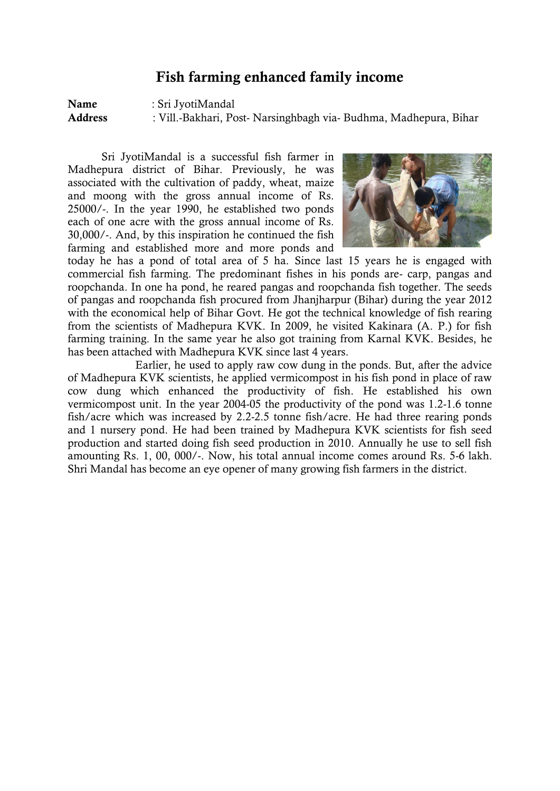#### **Fish farming enhanced family income**

**Name** : Sri JyotiMandal **Address** : Vill.-Bakhari, Post- Narsinghbagh via- Budhma, Madhepura, Bihar

Sri JyotiMandal is a successful fish farmer in Madhepura district of Bihar. Previously, he was associated with the cultivation of paddy, wheat, maize and moong with the gross annual income of Rs. 25000/-. In the year 1990, he established two ponds each of one acre with the gross annual income of Rs. 30,000/-. And, by this inspiration he continued the fish farming and established more and more ponds and



today he has a pond of total area of 5 ha. Since last 15 years he is engaged with commercial fish farming. The predominant fishes in his ponds are- carp, pangas and roopchanda. In one ha pond, he reared pangas and roopchanda fish together. The seeds of pangas and roopchanda fish procured from Jhanjharpur (Bihar) during the year 2012 with the economical help of Bihar Govt. He got the technical knowledge of fish rearing from the scientists of Madhepura KVK. In 2009, he visited Kakinara (A. P.) for fish farming training. In the same year he also got training from Karnal KVK. Besides, he has been attached with Madhepura KVK since last 4 years.

Earlier, he used to apply raw cow dung in the ponds. But, after the advice of Madhepura KVK scientists, he applied vermicompost in his fish pond in place of raw cow dung which enhanced the productivity of fish. He established his own vermicompost unit. In the year 2004-05 the productivity of the pond was 1.2-1.6 tonne fish/acre which was increased by 2.2-2.5 tonne fish/acre. He had three rearing ponds and 1 nursery pond. He had been trained by Madhepura KVK scientists for fish seed production and started doing fish seed production in 2010. Annually he use to sell fish amounting Rs. 1, 00, 000/-. Now, his total annual income comes around Rs. 5-6 lakh. Shri Mandal has become an eye opener of many growing fish farmers in the district.